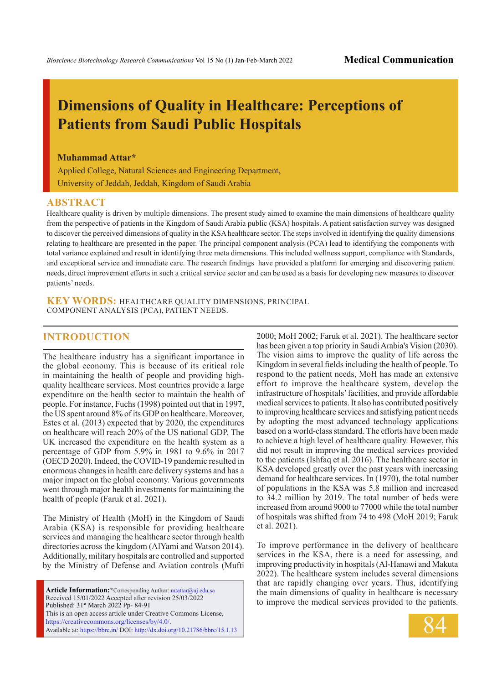# **Dimensions of Quality in Healthcare: Perceptions of Patients from Saudi Public Hospitals**

#### **Muhammad Attar\***

Applied College, Natural Sciences and Engineering Department, University of Jeddah, Jeddah, Kingdom of Saudi Arabia

#### **ABSTRACT**

Healthcare quality is driven by multiple dimensions. The present study aimed to examine the main dimensions of healthcare quality from the perspective of patients in the Kingdom of Saudi Arabia public (KSA) hospitals. A patient satisfaction survey was designed to discover the perceived dimensions of quality in the KSA healthcare sector. The steps involved in identifying the quality dimensions relating to healthcare are presented in the paper. The principal component analysis (PCA) lead to identifying the components with total variance explained and result in identifying three meta dimensions. This included wellness support, compliance with Standards, and exceptional service and immediate care. The research findings have provided a platform for emerging and discovering patient needs, direct improvement efforts in such a critical service sector and can be used as a basis for developing new measures to discover patients' needs.

**KEY WORDS:** HEALTHCARE QUALITY DIMENSIONS, PRINCIPAL COMPONENT ANALYSIS (PCA), PATIENT NEEDS.

#### **INTRODUCTION**

The healthcare industry has a significant importance in the global economy. This is because of its critical role in maintaining the health of people and providing highquality healthcare services. Most countries provide a large expenditure on the health sector to maintain the health of people. For instance, Fuchs (1998) pointed out that in 1997, the US spent around 8% of its GDP on healthcare. Moreover, Estes et al. (2013) expected that by 2020, the expenditures on healthcare will reach 20% of the US national GDP. The UK increased the expenditure on the health system as a percentage of GDP from 5.9% in 1981 to 9.6% in 2017 (OECD 2020). Indeed, the COVID-19 pandemic resulted in enormous changes in health care delivery systems and has a major impact on the global economy. Various governments went through major health investments for maintaining the health of people (Faruk et al. 2021).

The Ministry of Health (MoH) in the Kingdom of Saudi Arabia (KSA) is responsible for providing healthcare services and managing the healthcare sector through health directories across the kingdom (AlYami and Watson 2014). Additionally, military hospitals are controlled and supported by the Ministry of Defense and Aviation controls (Mufti

**Article Information:\***Corresponding Author: mtattar@uj.edu.sa Received 15/01/2022 Accepted after revision 25/03/2022 Published: 31st March 2022 Pp- 84-91 This is an open access article under Creative Commons License, https://creativecommons.org/licenses/by/4.0/. Available at: https://bbrc.in/ DOI: http://dx.doi.org/10.21786/bbrc/15.1.13 2000; MoH 2002; Faruk et al. 2021). The healthcare sector has been given a top priority in Saudi Arabia's Vision (2030). The vision aims to improve the quality of life across the Kingdom in several fields including the health of people. To respond to the patient needs, MoH has made an extensive effort to improve the healthcare system, develop the infrastructure of hospitals' facilities, and provide affordable medical services to patients. It also has contributed positively to improving healthcare services and satisfying patient needs by adopting the most advanced technology applications based on a world-class standard. The efforts have been made to achieve a high level of healthcare quality. However, this did not result in improving the medical services provided to the patients (Ishfaq et al. 2016). The healthcare sector in KSA developed greatly over the past years with increasing demand for healthcare services. In (1970), the total number of populations in the KSA was 5.8 million and increased to 34.2 million by 2019. The total number of beds were increased from around 9000 to 77000 while the total number of hospitals was shifted from 74 to 498 (MoH 2019; Faruk et al. 2021).

To improve performance in the delivery of healthcare services in the KSA, there is a need for assessing, and improving productivity in hospitals (Al-Hanawi and Makuta 2022). The healthcare system includes several dimensions that are rapidly changing over years. Thus, identifying the main dimensions of quality in healthcare is necessary to improve the medical services provided to the patients.

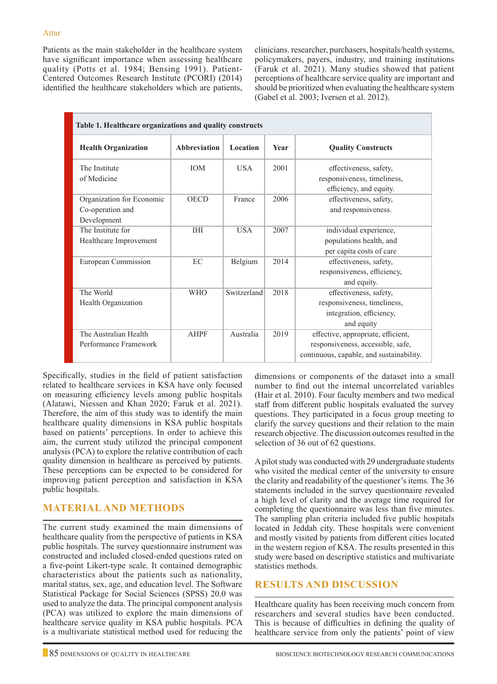Patients as the main stakeholder in the healthcare system have significant importance when assessing healthcare quality (Potts et al. 1984; Bensing 1991). Patient-Centered Outcomes Research Institute (PCORI) (2014) identified the healthcare stakeholders which are patients,

clinicians. researcher, purchasers, hospitals/health systems, policymakers, payers, industry, and training institutions (Faruk et al. 2021). Many studies showed that patient perceptions of healthcare service quality are important and should be prioritized when evaluating the healthcare system (Gabel et al. 2003; Iversen et al. 2012).

| Table 1. Healthcare organizations and quality constructs     |              |             |      |                                                                                                                     |  |  |  |
|--------------------------------------------------------------|--------------|-------------|------|---------------------------------------------------------------------------------------------------------------------|--|--|--|
| <b>Health Organization</b>                                   | Abbreviation | Location    | Year | <b>Quality Constructs</b>                                                                                           |  |  |  |
| The Institute<br>of Medicine                                 | <b>IOM</b>   | <b>USA</b>  | 2001 | effectiveness, safety,<br>responsiveness, timeliness,<br>efficiency, and equity.                                    |  |  |  |
| Organization for Economic<br>Co-operation and<br>Development | <b>OECD</b>  | France      | 2006 | effectiveness, safety,<br>and responsiveness.                                                                       |  |  |  |
| The Institute for<br>Healthcare Improvement                  | <b>IHI</b>   | <b>USA</b>  | 2007 | individual experience,<br>populations health, and<br>per capita costs of care                                       |  |  |  |
| European Commission                                          | EC           | Belgium     | 2014 | effectiveness, safety,<br>responsiveness, efficiency,<br>and equity.                                                |  |  |  |
| The World<br>Health Organization                             | <b>WHO</b>   | Switzerland | 2018 | effectiveness, safety,<br>responsiveness, timeliness,<br>integration, efficiency,<br>and equity                     |  |  |  |
| The Australian Health<br>Performance Framework               | <b>AHPF</b>  | Australia   | 2019 | effective, appropriate, efficient,<br>responsiveness, accessible, safe,<br>continuous, capable, and sustainability. |  |  |  |

Specifically, studies in the field of patient satisfaction related to healthcare services in KSA have only focused on measuring efficiency levels among public hospitals (Alatawi, Niessen and Khan 2020; Faruk et al. 2021). Therefore, the aim of this study was to identify the main healthcare quality dimensions in KSA public hospitals based on patients' perceptions. In order to achieve this aim, the current study utilized the principal component analysis (PCA) to explore the relative contribution of each quality dimension in healthcare as perceived by patients. These perceptions can be expected to be considered for improving patient perception and satisfaction in KSA public hospitals.

# **MATERIAL AND METHODS**

The current study examined the main dimensions of healthcare quality from the perspective of patients in KSA public hospitals. The survey questionnaire instrument was constructed and included closed-ended questions rated on a five-point Likert-type scale. It contained demographic characteristics about the patients such as nationality, marital status, sex, age, and education level. The Software Statistical Package for Social Sciences (SPSS) 20.0 was used to analyze the data. The principal component analysis (PCA) was utilized to explore the main dimensions of healthcare service quality in KSA public hospitals. PCA is a multivariate statistical method used for reducing the dimensions or components of the dataset into a small number to find out the internal uncorrelated variables (Hair et al. 2010). Four faculty members and two medical staff from different public hospitals evaluated the survey questions. They participated in a focus group meeting to clarify the survey questions and their relation to the main research objective. The discussion outcomes resulted in the selection of 36 out of 62 questions.

A pilot study was conducted with 29 undergraduate students who visited the medical center of the university to ensure the clarity and readability of the questioner's items. The 36 statements included in the survey questionnaire revealed a high level of clarity and the average time required for completing the questionnaire was less than five minutes. The sampling plan criteria included five public hospitals located in Jeddah city. These hospitals were convenient and mostly visited by patients from different cities located in the western region of KSA. The results presented in this study were based on descriptive statistics and multivariate statistics methods.

# **RESULTS AND DISCUSSION**

Healthcare quality has been receiving much concern from researchers and several studies have been conducted. This is because of difficulties in defining the quality of healthcare service from only the patients' point of view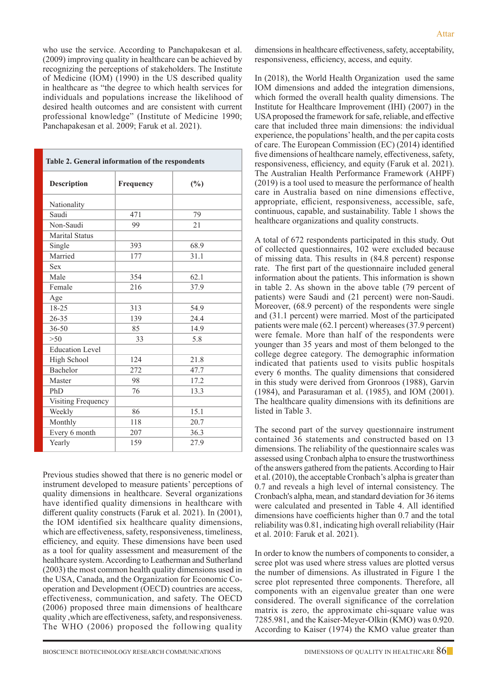who use the service. According to Panchapakesan et al. (2009) improving quality in healthcare can be achieved by recognizing the perceptions of stakeholders. The Institute of Medicine (IOM) (1990) in the US described quality in healthcare as "the degree to which health services for individuals and populations increase the likelihood of desired health outcomes and are consistent with current professional knowledge" (Institute of Medicine 1990; Panchapakesan et al. 2009; Faruk et al. 2021).

| Table 2. General information of the respondents |                  |      |  |  |  |  |
|-------------------------------------------------|------------------|------|--|--|--|--|
| <b>Description</b>                              | <b>Frequency</b> | (%)  |  |  |  |  |
| Nationality                                     |                  |      |  |  |  |  |
| Saudi                                           | 471              | 79   |  |  |  |  |
| Non-Saudi                                       | 99               | 21   |  |  |  |  |
| Marital Status                                  |                  |      |  |  |  |  |
| Single                                          | 393              | 68.9 |  |  |  |  |
| Married                                         | 177              | 31.1 |  |  |  |  |
| Sex                                             |                  |      |  |  |  |  |
| Male                                            | 354              | 62.1 |  |  |  |  |
| Female                                          | 216              | 37.9 |  |  |  |  |
| Age                                             |                  |      |  |  |  |  |
| 18-25                                           | 313              | 54.9 |  |  |  |  |
| $26 - 35$                                       | 139              | 24.4 |  |  |  |  |
| $36 - 50$                                       | 85               | 14.9 |  |  |  |  |
| >50                                             | 33               | 5.8  |  |  |  |  |
| <b>Education Level</b>                          |                  |      |  |  |  |  |
| High School                                     | 124              | 21.8 |  |  |  |  |
| Bachelor                                        | 272              | 47.7 |  |  |  |  |
| Master                                          | 98               | 17.2 |  |  |  |  |
| PhD                                             | 76               | 13.3 |  |  |  |  |
| Visiting Frequency                              |                  |      |  |  |  |  |
| Weekly                                          | 86               | 15.1 |  |  |  |  |
| Monthly                                         | 118              | 20.7 |  |  |  |  |
| Every 6 month                                   | 207              | 36.3 |  |  |  |  |
| Yearly                                          | 159              | 27.9 |  |  |  |  |

Previous studies showed that there is no generic model or instrument developed to measure patients' perceptions of quality dimensions in healthcare. Several organizations have identified quality dimensions in healthcare with different quality constructs (Faruk et al. 2021). In (2001), the IOM identified six healthcare quality dimensions, which are effectiveness, safety, responsiveness, timeliness, efficiency, and equity. These dimensions have been used as a tool for quality assessment and measurement of the healthcare system. According to Leatherman and Sutherland (2003) the most common health quality dimensions used in the USA, Canada, and the Organization for Economic Cooperation and Development (OECD) countries are access, effectiveness, communication, and safety. The OECD (2006) proposed three main dimensions of healthcare quality ,which are effectiveness, safety, and responsiveness. The WHO (2006) proposed the following quality

dimensions in healthcare effectiveness, safety, acceptability, responsiveness, efficiency, access, and equity.

In (2018), the World Health Organization used the same IOM dimensions and added the integration dimensions, which formed the overall health quality dimensions. The Institute for Healthcare Improvement (IHI) (2007) in the USA proposed the framework for safe, reliable, and effective care that included three main dimensions: the individual experience, the populations' health, and the per capita costs of care. The European Commission (EC) (2014) identified five dimensions of healthcare namely, effectiveness, safety, responsiveness, efficiency, and equity (Faruk et al. 2021). The Australian Health Performance Framework (AHPF) (2019) is a tool used to measure the performance of health care in Australia based on nine dimensions effective, appropriate, efficient, responsiveness, accessible, safe, continuous, capable, and sustainability. Table 1 shows the healthcare organizations and quality constructs.

A total of 672 respondents participated in this study. Out of collected questionnaires, 102 were excluded because of missing data. This results in (84.8 percent) response rate. The first part of the questionnaire included general information about the patients. This information is shown in table 2. As shown in the above table (79 percent of patients) were Saudi and (21 percent) were non-Saudi. Moreover, (68.9 percent) of the respondents were single and (31.1 percent) were married. Most of the participated patients were male (62.1 percent) whereases (37.9 percent) were female. More than half of the respondents were younger than 35 years and most of them belonged to the college degree category. The demographic information indicated that patients used to visits public hospitals every 6 months. The quality dimensions that considered in this study were derived from Gronroos (1988), Garvin (1984), and Parasuraman et al. (1985), and IOM (2001). The healthcare quality dimensions with its definitions are listed in Table 3.

The second part of the survey questionnaire instrument contained 36 statements and constructed based on 13 dimensions. The reliability of the questionnaire scales was assessed using Cronbach alpha to ensure the trustworthiness of the answers gathered from the patients. According to Hair et al. (2010), the acceptable Cronbach's alpha is greater than 0.7 and reveals a high level of internal consistency. The Cronbach's alpha, mean, and standard deviation for 36 items were calculated and presented in Table 4. All identified dimensions have coefficients higher than 0.7 and the total reliability was 0.81, indicating high overall reliability (Hair et al. 2010: Faruk et al. 2021).

In order to know the numbers of components to consider, a scree plot was used where stress values are plotted versus the number of dimensions. As illustrated in Figure 1 the scree plot represented three components. Therefore, all components with an eigenvalue greater than one were considered. The overall significance of the correlation matrix is zero, the approximate chi-square value was 7285.981, and the Kaiser-Meyer-Olkin (KMO) was 0.920. According to Kaiser (1974) the KMO value greater than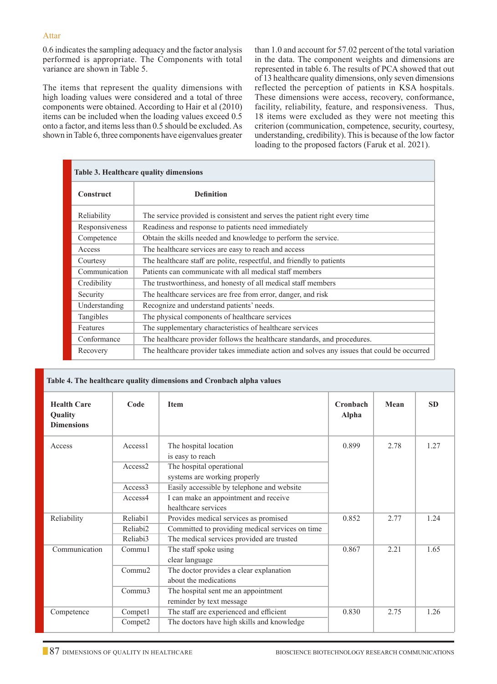0.6 indicates the sampling adequacy and the factor analysis performed is appropriate. The Components with total variance are shown in Table 5.

The items that represent the quality dimensions with high loading values were considered and a total of three components were obtained. According to Hair et al (2010) items can be included when the loading values exceed 0.5 onto a factor, and items less than 0.5 should be excluded. As shown in Table 6, three components have eigenvalues greater than 1.0 and account for 57.02 percent of the total variation in the data. The component weights and dimensions are represented in table 6. The results of PCA showed that out of 13 healthcare quality dimensions, only seven dimensions reflected the perception of patients in KSA hospitals. These dimensions were access, recovery, conformance, facility, reliability, feature, and responsiveness. Thus, 18 items were excluded as they were not meeting this criterion (communication, competence, security, courtesy, understanding, credibility). This is because of the low factor loading to the proposed factors (Faruk et al. 2021).

| <b>Table 3. Healthcare quality dimensions</b> |                                                                                             |  |  |  |
|-----------------------------------------------|---------------------------------------------------------------------------------------------|--|--|--|
| <b>Construct</b>                              | <b>Definition</b>                                                                           |  |  |  |
| Reliability                                   | The service provided is consistent and serves the patient right every time                  |  |  |  |
| Responsiveness                                | Readiness and response to patients need immediately                                         |  |  |  |
| Competence                                    | Obtain the skills needed and knowledge to perform the service.                              |  |  |  |
| Access                                        | The healthcare services are easy to reach and access                                        |  |  |  |
| Courtesy                                      | The healthcare staff are polite, respectful, and friendly to patients                       |  |  |  |
| Communication                                 | Patients can communicate with all medical staff members                                     |  |  |  |
| Credibility                                   | The trustworthiness, and honesty of all medical staff members                               |  |  |  |
| Security                                      | The healthcare services are free from error, danger, and risk                               |  |  |  |
| Understanding                                 | Recognize and understand patients' needs.                                                   |  |  |  |
| Tangibles                                     | The physical components of healthcare services                                              |  |  |  |
| Features                                      | The supplementary characteristics of healthcare services                                    |  |  |  |
| Conformance                                   | The healthcare provider follows the healthcare standards, and procedures.                   |  |  |  |
| Recovery                                      | The healthcare provider takes immediate action and solves any issues that could be occurred |  |  |  |

| Table 4. The healthcare quality dimensions and Cronbach alpha values |                     |                                                                  |                   |      |           |  |
|----------------------------------------------------------------------|---------------------|------------------------------------------------------------------|-------------------|------|-----------|--|
| <b>Health Care</b><br><b>Ouality</b><br><b>Dimensions</b>            | Code                | <b>Item</b>                                                      | Cronbach<br>Alpha | Mean | <b>SD</b> |  |
| Access                                                               | Access <sub>1</sub> | The hospital location<br>is easy to reach                        | 0.899             | 2.78 | 1.27      |  |
|                                                                      | Access2             | The hospital operational<br>systems are working properly         |                   |      |           |  |
|                                                                      | Access <sub>3</sub> | Easily accessible by telephone and website                       |                   |      |           |  |
|                                                                      | Access4             | I can make an appointment and receive<br>healthcare services     |                   |      |           |  |
| Reliability                                                          | Reliabi1            | Provides medical services as promised<br>0.852                   |                   | 2.77 | 1.24      |  |
|                                                                      | Reliabi2            | Committed to providing medical services on time                  |                   |      |           |  |
|                                                                      | Reliabi3            | The medical services provided are trusted                        |                   |      |           |  |
| Communication                                                        | Commu <sub>1</sub>  | The staff spoke using<br>clear language                          | 0.867             | 2.21 | 1.65      |  |
|                                                                      | Commonu2            | The doctor provides a clear explanation<br>about the medications |                   |      |           |  |
|                                                                      | Commu3              | The hospital sent me an appointment<br>reminder by text message  |                   |      |           |  |
| Competence                                                           | Compet1             | The staff are experienced and efficient<br>0.830                 |                   | 2.75 | 1.26      |  |
|                                                                      | Compet <sub>2</sub> | The doctors have high skills and knowledge                       |                   |      |           |  |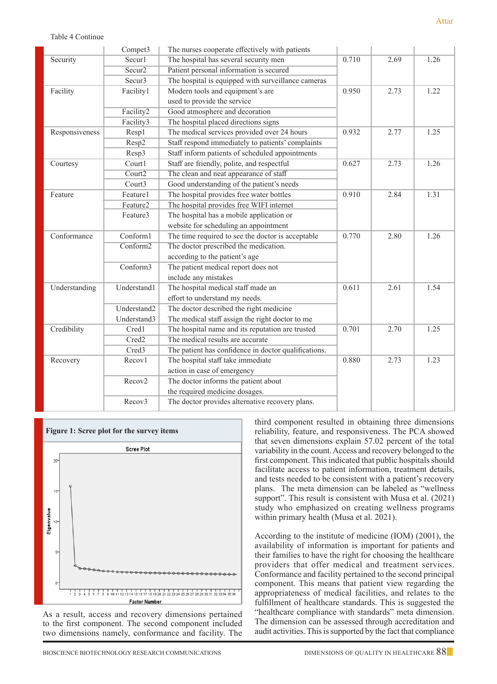| 10 | 2.69 | 1.26 |
|----|------|------|

Attar

|                | Compet3              | The nurses cooperate effectively with patients       |       |      |      |
|----------------|----------------------|------------------------------------------------------|-------|------|------|
| Security       | Secur1               | The hospital has several security men                | 0.710 | 2.69 | 1.26 |
|                | Secur <sub>2</sub>   | Patient personal information is secured              |       |      |      |
|                | Secur3               | The hospital is equipped with surveillance cameras   |       |      |      |
| Facility       | Facility1            | Modern tools and equipment's are                     | 0.950 | 2.73 | 1.22 |
|                |                      | used to provide the service                          |       |      |      |
|                | Facility2            | Good atmosphere and decoration                       |       |      |      |
|                | Facility3            | The hospital placed directions signs                 |       |      |      |
| Responsiveness | Resp1                | The medical services provided over 24 hours          | 0.932 | 2.77 | 1.25 |
|                | Resp2                | Staff respond immediately to patients' complaints    |       |      |      |
|                | Resp3                | Staff inform patients of scheduled appointments      |       |      |      |
| Courtesy       | Court1               | Staff are friendly, polite, and respectful           | 0.627 | 2.73 | 1.26 |
|                | Court <sub>2</sub>   | The clean and neat appearance of staff               |       |      |      |
|                | Court3               | Good understanding of the patient's needs            |       |      |      |
| Feature        | Feature1             | The hospital provides free water bottles             | 0.910 | 2.84 | 1.31 |
|                | Feature <sub>2</sub> | The hospital provides free WIFI internet             |       |      |      |
|                | Feature3             | The hospital has a mobile application or             |       |      |      |
|                |                      | website for scheduling an appointment                |       |      |      |
| Conformance    | Conform1             | The time required to see the doctor is acceptable    | 0.770 | 2.80 | 1.26 |
|                | Conform2             | The doctor prescribed the medication.                |       |      |      |
|                |                      | according to the patient's age                       |       |      |      |
|                | Conform3             | The patient medical report does not                  |       |      |      |
|                |                      | include any mistakes                                 |       |      |      |
| Understanding  | Understand1          | The hospital medical staff made an                   | 0.611 | 2.61 | 1.54 |
|                |                      | effort to understand my needs.                       |       |      |      |
|                | Understand2          | The doctor described the right medicine              |       |      |      |
|                | Understand3          | The medical staff assign the right doctor to me      |       |      |      |
| Credibility    | Cred1                | The hospital name and its reputation are trusted     | 0.701 | 2.70 | 1.25 |
|                | Cred <sub>2</sub>    | The medical results are accurate                     |       |      |      |
|                | Cred <sub>3</sub>    | The patient has confidence in doctor qualifications. |       |      |      |
| Recovery       | Recov1               | The hospital staff take immediate                    | 0.880 | 2.73 | 1.23 |
|                |                      | action in case of emergency                          |       |      |      |
|                | Recov <sub>2</sub>   | The doctor informs the patient about                 |       |      |      |
|                |                      | the required medicine dosages.                       |       |      |      |
|                | Recov3               | The doctor provides alternative recovery plans.      |       |      |      |
|                |                      |                                                      |       |      |      |



As a result, access and recovery dimensions pertained to the first component. The second component included two dimensions namely, conformance and facility. The

third component resulted in obtaining three dimensions reliability, feature, and responsiveness. The PCA showed that seven dimensions explain 57.02 percent of the total variability in the count. Access and recovery belonged to the first component. This indicated that public hospitals should facilitate access to patient information, treatment details, and tests needed to be consistent with a patient's recovery plans. The meta dimension can be labeled as "wellness support". This result is consistent with Musa et al. (2021) study who emphasized on creating wellness programs within primary health (Musa et al. 2021).

According to the institute of medicine (IOM) (2001), the availability of information is important for patients and their families to have the right for choosing the healthcare providers that offer medical and treatment services. Conformance and facility pertained to the second principal component. This means that patient view regarding the appropriateness of medical facilities, and relates to the fulfillment of healthcare standards. This is suggested the "healthcare compliance with standards" meta dimension. The dimension can be assessed through accreditation and audit activities. This is supported by the fact that compliance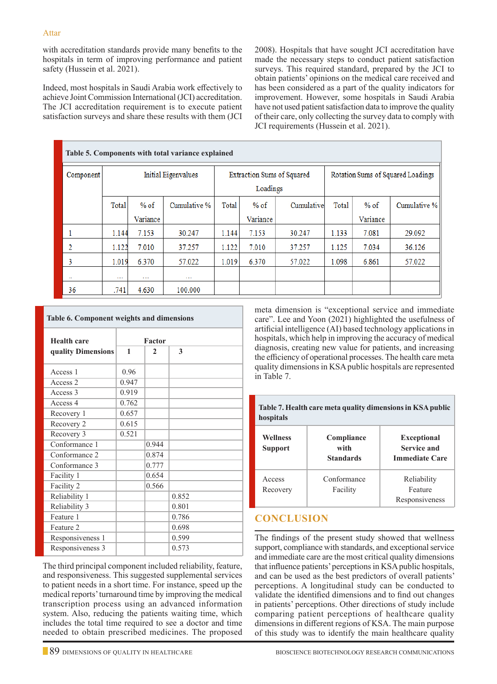with accreditation standards provide many benefits to the hospitals in term of improving performance and patient safety (Hussein et al. 2021).

Indeed, most hospitals in Saudi Arabia work effectively to achieve Joint Commission International (JCI) accreditation. The JCI accreditation requirement is to execute patient satisfaction surveys and share these results with them (JCI 2008). Hospitals that have sought JCI accreditation have made the necessary steps to conduct patient satisfaction surveys. This required standard, prepared by the JCI to obtain patients' opinions on the medical care received and has been considered as a part of the quality indicators for improvement. However, some hospitals in Saudi Arabia have not used patient satisfaction data to improve the quality of their care, only collecting the survey data to comply with JCI requirements (Hussein et al. 2021).

|               | Table 5. Components with total variance explained |          |                            |       |          |                                   |       |          |              |
|---------------|---------------------------------------------------|----------|----------------------------|-------|----------|-----------------------------------|-------|----------|--------------|
| Component     | <b>Initial Eigenvalues</b>                        |          | Extraction Sums of Squared |       |          | Rotation Sums of Squared Loadings |       |          |              |
|               |                                                   |          | Loadings                   |       |          |                                   |       |          |              |
|               | Total                                             | $%$ of   | Cumulative %               | Total | $%$ of   | Cumulative                        | Total | $%$ of   | Cumulative % |
|               |                                                   | Variance |                            |       | Variance |                                   |       | Variance |              |
| 1             | 1.144                                             | 7.153    | 30.247                     | 1.144 | 7.153    | 30.247                            | 1.133 | 7.081    | 29.092       |
| 2             | 1.122                                             | 7.010    | 37.257                     | 1.122 | 7.010    | 37.257                            | 1.125 | 7.034    | 36.126       |
| 3             | 1.019                                             | 6.370    | 57.022                     | 1.019 | 6.370    | 57.022                            | 1.098 | 6.861    | 57.022       |
| $\sim$ $\sim$ | $\cdots$                                          | $\cdots$ |                            |       |          |                                   |       |          |              |
| 36            | .741                                              | 4.630    | 100.000                    |       |          |                                   |       |          |              |

| <b>Table 6. Component weights and dimensions</b> |       |        |       |  |  |  |
|--------------------------------------------------|-------|--------|-------|--|--|--|
| <b>Health care</b>                               |       | Factor |       |  |  |  |
| quality Dimensions                               | 1     | 2      | 3     |  |  |  |
| Access 1                                         | 0.96  |        |       |  |  |  |
| Access 2                                         | 0.947 |        |       |  |  |  |
| Access 3                                         | 0.919 |        |       |  |  |  |
| Access 4                                         | 0.762 |        |       |  |  |  |
| Recovery 1                                       | 0.657 |        |       |  |  |  |
| Recovery 2                                       | 0.615 |        |       |  |  |  |
| Recovery 3                                       | 0.521 |        |       |  |  |  |
| Conformance 1                                    |       | 0.944  |       |  |  |  |
| Conformance 2                                    |       | 0.874  |       |  |  |  |
| Conformance 3                                    |       | 0.777  |       |  |  |  |
| Facility 1                                       |       | 0.654  |       |  |  |  |
| Facility 2                                       |       | 0.566  |       |  |  |  |
| Reliability 1                                    |       |        | 0.852 |  |  |  |
| Reliability 3                                    |       |        | 0.801 |  |  |  |
| Feature 1                                        |       |        | 0.786 |  |  |  |
| Feature 2                                        |       |        | 0.698 |  |  |  |
| Responsiveness 1                                 |       |        | 0.599 |  |  |  |
| Responsiveness 3                                 |       |        | 0.573 |  |  |  |

The third principal component included reliability, feature, and responsiveness. This suggested supplemental services to patient needs in a short time. For instance, speed up the medical reports' turnaround time by improving the medical transcription process using an advanced information system. Also, reducing the patients waiting time, which includes the total time required to see a doctor and time needed to obtain prescribed medicines. The proposed

meta dimension is "exceptional service and immediate care". Lee and Yoon (2021) highlighted the usefulness of artificial intelligence (AI) based technology applications in hospitals, which help in improving the accuracy of medical diagnosis, creating new value for patients, and increasing the efficiency of operational processes. The health care meta quality dimensions in KSA public hospitals are represented in Table 7.

**Table 7. Health care meta quality dimensions in KSA public hospitals**

| Wellness<br><b>Support</b> | Compliance<br>with<br><b>Standards</b> | <b>Exceptional</b><br>Service and<br><b>Immediate Care</b> |  |  |
|----------------------------|----------------------------------------|------------------------------------------------------------|--|--|
| Access<br>Recovery         | Conformance<br>Facility                | Reliability<br>Feature<br>Responsiveness                   |  |  |

# **CONCLUSION**

The findings of the present study showed that wellness support, compliance with standards, and exceptional service and immediate care are the most critical quality dimensions that influence patients' perceptions in KSA public hospitals, and can be used as the best predictors of overall patients' perceptions. A longitudinal study can be conducted to validate the identified dimensions and to find out changes in patients' perceptions. Other directions of study include comparing patient perceptions of healthcare quality dimensions in different regions of KSA. The main purpose of this study was to identify the main healthcare quality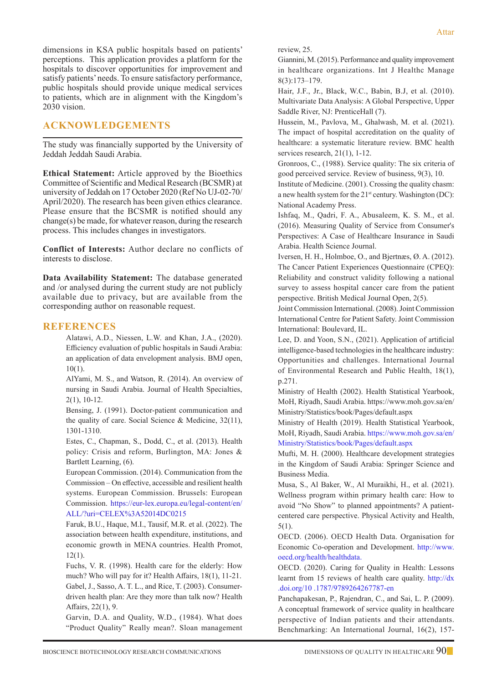dimensions in KSA public hospitals based on patients' perceptions. This application provides a platform for the hospitals to discover opportunities for improvement and satisfy patients' needs. To ensure satisfactory performance, public hospitals should provide unique medical services to patients, which are in alignment with the Kingdom's 2030 vision.

### **ACKNOWLEDGEMENTS**

The study was financially supported by the University of Jeddah Jeddah Saudi Arabia.

**Ethical Statement:** Article approved by the Bioethics Committee of Scientific and Medical Research (BCSMR) at university of Jeddah on 17 October 2020 (Ref No UJ-02-70/ April/2020). The research has been given ethics clearance. Please ensure that the BCSMR is notified should any change(s) be made, for whatever reason, during the research process. This includes changes in investigators.

**Conflict of Interests:** Author declare no conflicts of interests to disclose.

**Data Availability Statement:** The database generated and /or analysed during the current study are not publicly available due to privacy, but are available from the corresponding author on reasonable request.

#### **REFERENCES**

Alatawi, A.D., Niessen, L.W. and Khan, J.A., (2020). Efficiency evaluation of public hospitals in Saudi Arabia: an application of data envelopment analysis. BMJ open, 10(1).

AlYami, M. S., and Watson, R. (2014). An overview of nursing in Saudi Arabia. Journal of Health Specialties, 2(1), 10-12.

Bensing, J. (1991). Doctor-patient communication and the quality of care. Social Science & Medicine, 32(11), 1301-1310.

Estes, C., Chapman, S., Dodd, C., et al. (2013). Health policy: Crisis and reform, Burlington, MA: Jones & Bartlett Learning, (6).

European Commission. (2014). Communication from the Commission – On effective, accessible and resilient health systems. European Commission. Brussels: European Commission. https://eur-lex.europa.eu/legal-content/en/ ALL/?uri=CELEX%3A52014DC0215

Faruk, B.U., Haque, M.I., Tausif, M.R. et al. (2022). The association between health expenditure, institutions, and economic growth in MENA countries. Health Promot, 12(1).

Fuchs, V. R. (1998). Health care for the elderly: How much? Who will pay for it? Health Affairs, 18(1), 11-21. Gabel, J., Sasso, A. T. L., and Rice, T. (2003). Consumerdriven health plan: Are they more than talk now? Health

Affairs, 22(1), 9.

Garvin, D.A. and Quality, W.D., (1984). What does "Product Quality" Really mean?. Sloan management review, 25.

Giannini, M. (2015). Performance and quality improvement in healthcare organizations. Int J Healthc Manage 8(3):173–179.

Hair, J.F., Jr., Black, W.C., Babin, B.J, et al. (2010). Multivariate Data Analysis: A Global Perspective, Upper Saddle River, NJ: PrenticeHall (7).

Hussein, M., Pavlova, M., Ghalwash, M. et al. (2021). The impact of hospital accreditation on the quality of healthcare: a systematic literature review. BMC health services research, 21(1), 1-12.

Gronroos, C., (1988). Service quality: The six criteria of good perceived service. Review of business, 9(3), 10.

Institute of Medicine. (2001). Crossing the quality chasm: a new health system for the  $21<sup>st</sup>$  century. Washington (DC): National Academy Press.

Ishfaq, M., Qadri, F. A., Abusaleem, K. S. M., et al. (2016). Measuring Quality of Service from Consumer's Perspectives: A Case of Healthcare Insurance in Saudi Arabia. Health Science Journal.

Iversen, H. H., Holmboe, O., and Bjertnæs, Ø. A. (2012). The Cancer Patient Experiences Questionnaire (CPEQ): Reliability and construct validity following a national survey to assess hospital cancer care from the patient perspective. British Medical Journal Open, 2(5).

Joint Commission International. (2008). Joint Commission International Centre for Patient Safety. Joint Commission International: Boulevard, IL.

Lee, D. and Yoon, S.N., (2021). Application of artificial intelligence-based technologies in the healthcare industry: Opportunities and challenges. International Journal of Environmental Research and Public Health, 18(1), p.271.

Ministry of Health (2002). Health Statistical Yearbook, MoH, Riyadh, Saudi Arabia. https://www.moh.gov.sa/en/ Ministry/Statistics/book/Pages/default.aspx

Ministry of Health (2019). Health Statistical Yearbook, MoH, Riyadh, Saudi Arabia. https://www.moh.gov.sa/en/ Ministry/Statistics/book/Pages/default.aspx

Mufti, M. H. (2000). Healthcare development strategies in the Kingdom of Saudi Arabia: Springer Science and Business Media.

Musa, S., Al Baker, W., Al Muraikhi, H., et al. (2021). Wellness program within primary health care: How to avoid "No Show" to planned appointments? A patientcentered care perspective. Physical Activity and Health, 5(1).

OECD. (2006). OECD Health Data. Organisation for Economic Co-operation and Development. http://www. oecd.org/health/healthdata.

OECD. (2020). Caring for Quality in Health: Lessons learnt from 15 reviews of health care quality. http://dx .doi.org/10 .1787/9789264267787-en

Panchapakesan, P., Rajendran, C., and Sai, L. P. (2009). A conceptual framework of service quality in healthcare perspective of Indian patients and their attendants. Benchmarking: An International Journal, 16(2), 157